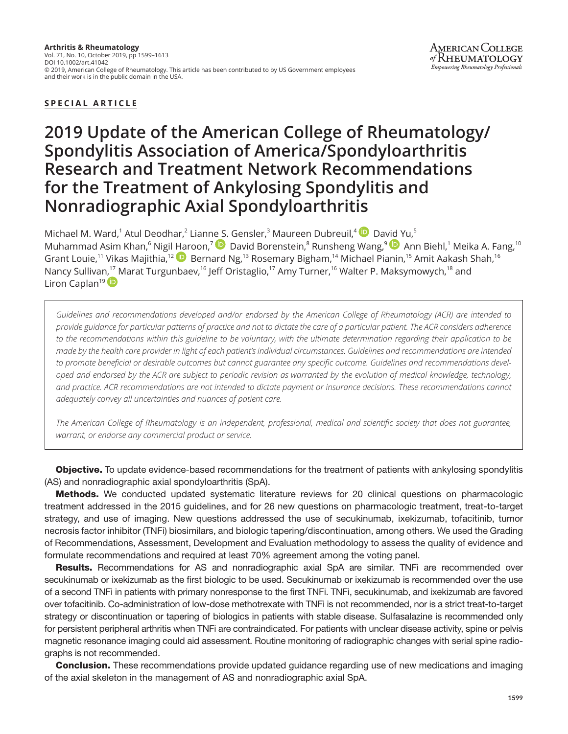**SPECIAL ARTICLE**

# **2019 Update of the American College of Rheumatology/ Spondylitis Association of America/Spondyloarthritis Research and Treatment Network Recommendations for the Treatment of Ankylosing Spondylitis and Nonradiographic Axial Spondyloarthritis**

Michael M. Ward,<sup>1</sup> Atul Deodhar,<sup>2</sup> Lian[ne S.](https://orcid.org/0000-0003-3210-4771) Gensler,<sup>3</sup> Maureen Dubreuil,<sup>4 D</sup>Da[vid Y](https://orcid.org/0000-0001-8115-7509)u,<sup>5</sup> Muhammad Asim Khan,<sup>6</sup> Nigil [Har](https://orcid.org/0000-0003-3627-4399)oon,<sup>7 (</sup>D) David Borenstein,<sup>8</sup> Runsheng Wang,<sup>9 (D)</sup> Ann Biehl,<sup>1</sup> Meika A. Fang,<sup>10</sup> Grant Louie,<sup>11</sup> Vikas Majithia,<sup>12</sup> **D** Bernard Ng,<sup>13</sup> Rosemary Bigham,<sup>14</sup> Michael Pianin,<sup>15</sup> Amit Aakash Shah,<sup>16</sup> Nancy Sulliva[n,](https://orcid.org/0000-0002-2799-3036)<sup>17</sup> Marat Turgunbaev,<sup>16</sup> Jeff Oristaglio,<sup>17</sup> Amy Turner,<sup>16</sup> Walter P. Maksymowych,<sup>18</sup> and Liron Caplan<sup>19</sup>

*Guidelines and recommendations developed and/or endorsed by the American College of Rheumatology (ACR) are intended to provide guidance for particular patterns of practice and not to dictate the care of a particular patient. The ACR considers adherence to the recommendations within this guideline to be voluntary, with the ultimate determination regarding their application to be made by the health care provider in light of each patient's individual circumstances. Guidelines and recommendations are intended to promote beneficial or desirable outcomes but cannot guarantee any specific outcome. Guidelines and recommendations developed and endorsed by the ACR are subject to periodic revision as warranted by the evolution of medical knowledge, technology, and practice. ACR recommendations are not intended to dictate payment or insurance decisions. These recommendations cannot adequately convey all uncertainties and nuances of patient care.*

*The American College of Rheumatology is an independent, professional, medical and scientific society that does not guarantee, warrant, or endorse any commercial product or service.*

Objective. To update evidence-based recommendations for the treatment of patients with ankylosing spondylitis (AS) and nonradiographic axial spondyloarthritis (SpA).

Methods. We conducted updated systematic literature reviews for 20 clinical questions on pharmacologic treatment addressed in the 2015 guidelines, and for 26 new questions on pharmacologic treatment, treat-to-target strategy, and use of imaging. New questions addressed the use of secukinumab, ixekizumab, tofacitinib, tumor necrosis factor inhibitor (TNFi) biosimilars, and biologic tapering/discontinuation, among others. We used the Grading of Recommendations, Assessment, Development and Evaluation methodology to assess the quality of evidence and formulate recommendations and required at least 70% agreement among the voting panel.

**Results.** Recommendations for AS and nonradiographic axial SpA are similar. TNFi are recommended over secukinumab or ixekizumab as the first biologic to be used. Secukinumab or ixekizumab is recommended over the use of a second TNFi in patients with primary nonresponse to the first TNFi. TNFi, secukinumab, and ixekizumab are favored over tofacitinib. Co-administration of low-dose methotrexate with TNFi is not recommended, nor is a strict treat-to-target strategy or discontinuation or tapering of biologics in patients with stable disease. Sulfasalazine is recommended only for persistent peripheral arthritis when TNFi are contraindicated. For patients with unclear disease activity, spine or pelvis magnetic resonance imaging could aid assessment. Routine monitoring of radiographic changes with serial spine radiographs is not recommended.

**Conclusion.** These recommendations provide updated guidance regarding use of new medications and imaging of the axial skeleton in the management of AS and nonradiographic axial SpA.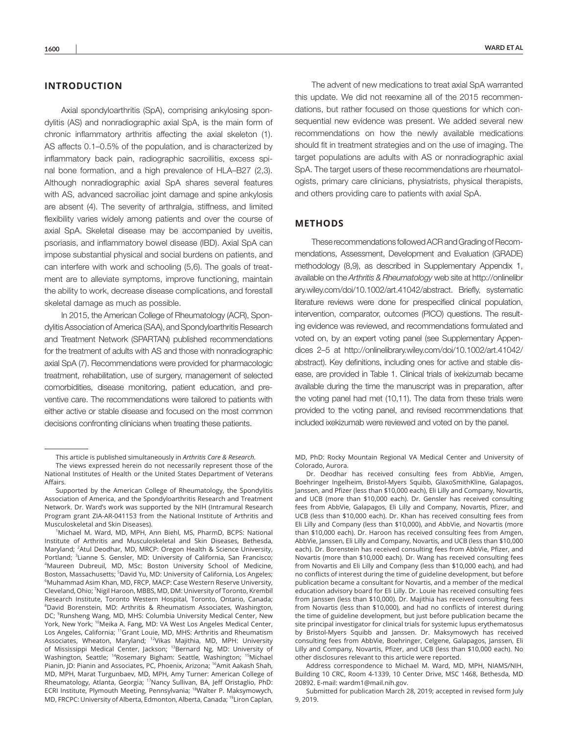#### **INTRODUCTION**

Axial spondyloarthritis (SpA), comprising ankylosing spondylitis (AS) and nonradiographic axial SpA, is the main form of chronic inflammatory arthritis affecting the axial skeleton (1). AS affects 0.1–0.5% of the population, and is characterized by inflammatory back pain, radiographic sacroiliitis, excess spinal bone formation, and a high prevalence of HLA–B27 (2,3). Although nonradiographic axial SpA shares several features with AS, advanced sacroiliac joint damage and spine ankylosis are absent (4). The severity of arthralgia, stiffness, and limited flexibility varies widely among patients and over the course of axial SpA. Skeletal disease may be accompanied by uveitis, psoriasis, and inflammatory bowel disease (IBD). Axial SpA can impose substantial physical and social burdens on patients, and can interfere with work and schooling (5,6). The goals of treatment are to alleviate symptoms, improve functioning, maintain the ability to work, decrease disease complications, and forestall skeletal damage as much as possible.

In 2015, the American College of Rheumatology (ACR), Spondylitis Association of America (SAA), and Spondyloarthritis Research and Treatment Network (SPARTAN) published recommendations for the treatment of adults with AS and those with nonradiographic axial SpA (7). Recommendations were provided for pharmacologic treatment, rehabilitation, use of surgery, management of selected comorbidities, disease monitoring, patient education, and preventive care. The recommendations were tailored to patients with either active or stable disease and focused on the most common decisions confronting clinicians when treating these patients.

The advent of new medications to treat axial SpA warranted this update. We did not reexamine all of the 2015 recommendations, but rather focused on those questions for which consequential new evidence was present. We added several new recommendations on how the newly available medications should fit in treatment strategies and on the use of imaging. The target populations are adults with AS or nonradiographic axial SpA. The target users of these recommendations are rheumatologists, primary care clinicians, physiatrists, physical therapists, and others providing care to patients with axial SpA.

#### **METHODS**

These recommendations followed ACR and Grading of Recommendations, Assessment, Development and Evaluation (GRADE) methodology (8,9), as described in Supplementary Appendix 1, available on the *Arthritis & Rheumatology* web site at [http://onlinelibr](http://onlinelibrary.wiley.com/doi/10.1002/art.41042/abstract) [ary.wiley.com/doi/10.1002/art.41042/abstract](http://onlinelibrary.wiley.com/doi/10.1002/art.41042/abstract). Briefly, systematic literature reviews were done for prespecified clinical population, intervention, comparator, outcomes (PICO) questions. The resulting evidence was reviewed, and recommendations formulated and voted on, by an expert voting panel (see Supplementary Appendices 2–5 at [http://onlinelibrary.wiley.com/doi/10.1002/art.41042/](http://onlinelibrary.wiley.com/doi/10.1002/art.41042/abstract) [abstract](http://onlinelibrary.wiley.com/doi/10.1002/art.41042/abstract)). Key definitions, including ones for active and stable disease, are provided in Table 1. Clinical trials of ixekizumab became available during the time the manuscript was in preparation, after the voting panel had met (10,11). The data from these trials were provided to the voting panel, and revised recommendations that included ixekizumab were reviewed and voted on by the panel.

MD, PhD: Rocky Mountain Regional VA Medical Center and University of Colorado, Aurora.

Dr. Deodhar has received consulting fees from AbbVie, Amgen, Boehringer Ingelheim, Bristol-Myers Squibb, GlaxoSmithKline, Galapagos, Janssen, and Pfizer (less than \$10,000 each), Eli Lilly and Company, Novartis, and UCB (more than \$10,000 each). Dr. Gensler has received consulting fees from AbbVie, Galapagos, Eli Lilly and Company, Novartis, Pfizer, and UCB (less than \$10,000 each). Dr. Khan has received consulting fees from Eli Lilly and Company (less than \$10,000), and AbbVie, and Novartis (more than \$10,000 each). Dr. Haroon has received consulting fees from Amgen, AbbVie, Janssen, Eli Lilly and Company, Novartis, and UCB (less than \$10,000 each). Dr. Borenstein has received consulting fees from AbbVie, Pfizer, and Novartis (more than \$10,000 each). Dr. Wang has received consulting fees from Novartis and Eli Lilly and Company (less than \$10,000 each), and had no conflicts of interest during the time of guideline development, but before publication became a consultant for Novartis, and a member of the medical education advisory board for Eli Lilly. Dr. Louie has received consulting fees from Janssen (less than \$10,000). Dr. Majithia has received consulting fees from Novartis (less than \$10,000), and had no conflicts of interest during the time of guideline development, but just before publication became the site principal investigator for clinical trials for systemic lupus erythematosus by Bristol-Myers Squibb and Janssen. Dr. Maksymowych has received consulting fees from AbbVie, Boehringer, Celgene, Galapagos, Janssen, Eli Lilly and Company, Novartis, Pfizer, and UCB (less than \$10,000 each). No other disclosures relevant to this article were reported.

Address correspondence to Michael M. Ward, MD, MPH, NIAMS/NIH, Building 10 CRC, Room 4-1339, 10 Center Drive, MSC 1468, Bethesda, MD 20892. E-mail: [wardm1@mail.nih.gov.](mailto:wardm1@mail.nih.gov)

Submitted for publication March 28, 2019; accepted in revised form July 9, 2019.

This article is published simultaneously in *Arthritis Care & Research.*

The views expressed herein do not necessarily represent those of the National Institutes of Health or the United States Department of Veterans Affairs.

Supported by the American College of Rheumatology, the Spondylitis Association of America, and the Spondyloarthritis Research and Treatment Network. Dr. Ward's work was supported by the NIH (Intramural Research Program grant ZIA-AR-041153 from the National Institute of Arthritis and Musculoskeletal and Skin Diseases).

<sup>1</sup> Michael M. Ward, MD, MPH, Ann Biehl, MS, PharmD, BCPS: National Institute of Arthritis and Musculoskeletal and Skin Diseases, Bethesda, Maryland; <sup>2</sup>Atul Deodhar, MD, MRCP: Oregon Health & Science University, Portland; <sup>3</sup>Lianne S. Gensler, MD: University of California, San Francisco; 4 Maureen Dubreuil, MD, MSc: Boston University School of Medicine, Boston, Massachusetts; <sup>5</sup>David Yu, MD: University of California, Los Angeles; 6 Muhammad Asim Khan, MD, FRCP, MACP: Case Western Reserve University, Cleveland, Ohio; <sup>7</sup> Nigil Haroon, MBBS, MD, DM: University of Toronto, Krembil Research Institute, Toronto Western Hospital, Toronto, Ontario, Canada; 8 David Borenstein, MD: Arthritis & Rheumatism Associates, Washington, DC; <sup>9</sup>Runsheng Wang, MD, MHS: Columbia University Medical Center, New York, New York; <sup>10</sup>Meika A. Fang, MD: VA West Los Angeles Medical Center, Los Angeles, California; <sup>11</sup>Grant Louie, MD, MHS: Arthritis and Rheumatism Associates, Wheaton, Maryland; <sup>12</sup>Vikas Majithia, MD, MPH: University of Mississippi Medical Center, Jackson; <sup>13</sup>Bernard Ng, MD: University of Washington, Seattle; <sup>14</sup>Rosemary Bigham: Seattle, Washington; <sup>15</sup>Michael Pianin, JD: Pianin and Associates, PC, Phoenix, Arizona; <sup>16</sup>Amit Aakash Shah, MD, MPH, Marat Turgunbaev, MD, MPH, Amy Turner: American College of Rheumatology, Atlanta, Georgia; <sup>17</sup>Nancy Sullivan, BA, Jeff Oristaglio, PhD: ECRI Institute, Plymouth Meeting, Pennsylvania; <sup>18</sup>Walter P. Maksymowych, MD, FRCPC: University of Alberta, Edmonton, Alberta, Canada; <sup>19</sup>Liron Caplan,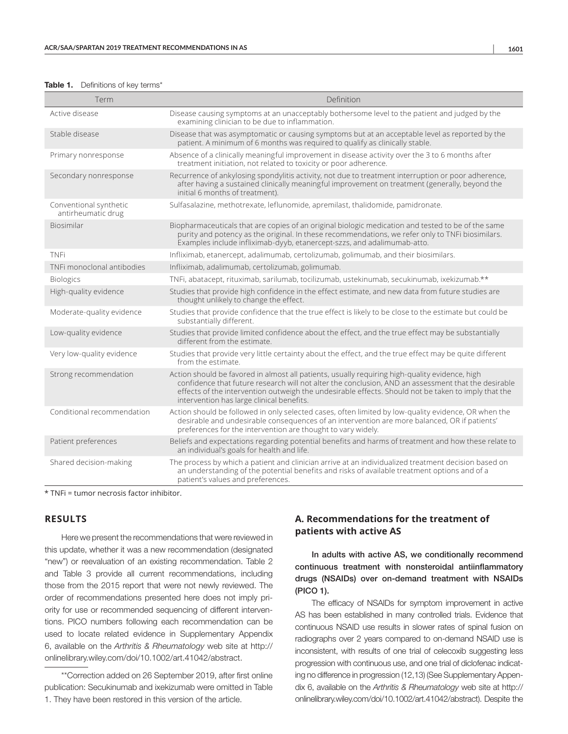#### Table 1. Definitions of key terms\*

| Term                                         | Definition                                                                                                                                                                                                                                                                                                                                                |
|----------------------------------------------|-----------------------------------------------------------------------------------------------------------------------------------------------------------------------------------------------------------------------------------------------------------------------------------------------------------------------------------------------------------|
| Active disease                               | Disease causing symptoms at an unacceptably bothersome level to the patient and judged by the<br>examining clinician to be due to inflammation.                                                                                                                                                                                                           |
| Stable disease                               | Disease that was asymptomatic or causing symptoms but at an acceptable level as reported by the<br>patient. A minimum of 6 months was required to qualify as clinically stable.                                                                                                                                                                           |
| Primary nonresponse                          | Absence of a clinically meaningful improvement in disease activity over the 3 to 6 months after<br>treatment initiation, not related to toxicity or poor adherence.                                                                                                                                                                                       |
| Secondary nonresponse                        | Recurrence of ankylosing spondylitis activity, not due to treatment interruption or poor adherence,<br>after having a sustained clinically meaningful improvement on treatment (generally, beyond the<br>initial 6 months of treatment).                                                                                                                  |
| Conventional synthetic<br>antirheumatic drug | Sulfasalazine, methotrexate, leflunomide, apremilast, thalidomide, pamidronate.                                                                                                                                                                                                                                                                           |
| Biosimilar                                   | Biopharmaceuticals that are copies of an original biologic medication and tested to be of the same<br>purity and potency as the original. In these recommendations, we refer only to TNFi biosimilars.<br>Examples include infliximab-dyyb, etanercept-szzs, and adalimumab-atto.                                                                         |
| TNFi                                         | Infliximab, etanercept, adalimumab, certolizumab, golimumab, and their biosimilars.                                                                                                                                                                                                                                                                       |
| TNFi monoclonal antibodies                   | Infliximab, adalimumab, certolizumab, golimumab.                                                                                                                                                                                                                                                                                                          |
| <b>Biologics</b>                             | TNFi, abatacept, rituximab, sarilumab, tocilizumab, ustekinumab, secukinumab, ixekizumab.**                                                                                                                                                                                                                                                               |
| High-quality evidence                        | Studies that provide high confidence in the effect estimate, and new data from future studies are<br>thought unlikely to change the effect.                                                                                                                                                                                                               |
| Moderate-quality evidence                    | Studies that provide confidence that the true effect is likely to be close to the estimate but could be<br>substantially different.                                                                                                                                                                                                                       |
| Low-quality evidence                         | Studies that provide limited confidence about the effect, and the true effect may be substantially<br>different from the estimate.                                                                                                                                                                                                                        |
| Very low-quality evidence                    | Studies that provide very little certainty about the effect, and the true effect may be quite different<br>from the estimate.                                                                                                                                                                                                                             |
| Strong recommendation                        | Action should be favored in almost all patients, usually requiring high-quality evidence, high<br>confidence that future research will not alter the conclusion, AND an assessment that the desirable<br>effects of the intervention outweigh the undesirable effects. Should not be taken to imply that the<br>intervention has large clinical benefits. |
| Conditional recommendation                   | Action should be followed in only selected cases, often limited by low-quality evidence, OR when the<br>desirable and undesirable consequences of an intervention are more balanced, OR if patients'<br>preferences for the intervention are thought to vary widely.                                                                                      |
| Patient preferences                          | Beliefs and expectations regarding potential benefits and harms of treatment and how these relate to<br>an individual's goals for health and life.                                                                                                                                                                                                        |
| Shared decision-making                       | The process by which a patient and clinician arrive at an individualized treatment decision based on<br>an understanding of the potential benefits and risks of available treatment options and of a<br>patient's values and preferences.                                                                                                                 |

\* TNFi = tumor necrosis factor inhibitor.

#### **RESULTS**

Here we present the recommendations that were reviewed in this update, whether it was a new recommendation (designated "new") or reevaluation of an existing recommendation. Table 2 and Table 3 provide all current recommendations, including those from the 2015 report that were not newly reviewed. The order of recommendations presented here does not imply priority for use or recommended sequencing of different interventions. PICO numbers following each recommendation can be used to locate related evidence in Supplementary Appendix 6, available on the *Arthritis & Rheumatology* web site at [http://](http://onlinelibrary.wiley.com/doi/10.1002/art.41042/abstract) [onlinelibrary.wiley.com/doi/10.1002/art.41042/abstract.](http://onlinelibrary.wiley.com/doi/10.1002/art.41042/abstract)

\*\*Correction added on 26 September 2019, after first online publication: Secukinumab and ixekizumab were omitted in Table 1. They have been restored in this version of the article.

# **A. Recommendations for the treatment of patients with active AS**

In adults with active AS, we conditionally recommend continuous treatment with nonsteroidal antiinflammatory drugs (NSAIDs) over on-demand treatment with NSAIDs (PICO 1).

The efficacy of NSAIDs for symptom improvement in active AS has been established in many controlled trials. Evidence that continuous NSAID use results in slower rates of spinal fusion on radiographs over 2 years compared to on-demand NSAID use is inconsistent, with results of one trial of celecoxib suggesting less progression with continuous use, and one trial of diclofenac indicating no difference in progression (12,13) (See Supplementary Appendix 6, available on the *Arthritis & Rheumatology* web site at [http://](http://onlinelibrary.wiley.com/doi/10.1002/art.41042/abstract) [onlinelibrary.wiley.com/doi/10.1002/art.41042/abstract](http://onlinelibrary.wiley.com/doi/10.1002/art.41042/abstract)). Despite the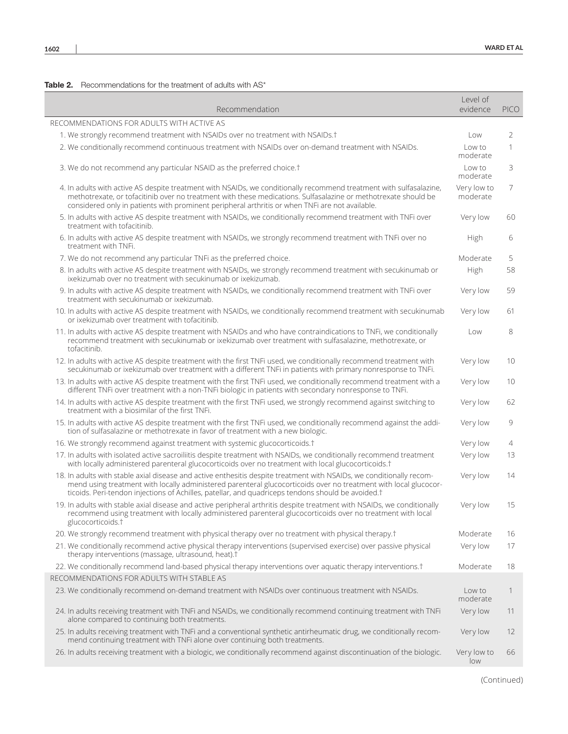#### Table 2. Recommendations for the treatment of adults with AS\*

| Recommendation                                                                                                                                                                                                                                                                                                                                            | Level of<br>evidence    | <b>PICO</b>    |
|-----------------------------------------------------------------------------------------------------------------------------------------------------------------------------------------------------------------------------------------------------------------------------------------------------------------------------------------------------------|-------------------------|----------------|
| RECOMMENDATIONS FOR ADULTS WITH ACTIVE AS                                                                                                                                                                                                                                                                                                                 |                         |                |
| 1. We strongly recommend treatment with NSAIDs over no treatment with NSAIDs. <sup>†</sup>                                                                                                                                                                                                                                                                | Low                     | 2              |
| 2. We conditionally recommend continuous treatment with NSAIDs over on-demand treatment with NSAIDs.                                                                                                                                                                                                                                                      | Low to<br>moderate      | 1              |
| 3. We do not recommend any particular NSAID as the preferred choice. <sup>†</sup>                                                                                                                                                                                                                                                                         | Low to<br>moderate      | 3              |
| 4. In adults with active AS despite treatment with NSAIDs, we conditionally recommend treatment with sulfasalazine,<br>methotrexate, or tofacitinib over no treatment with these medications. Sulfasalazine or methotrexate should be<br>considered only in patients with prominent peripheral arthritis or when TNFi are not available.                  | Very low to<br>moderate | 7              |
| 5. In adults with active AS despite treatment with NSAIDs, we conditionally recommend treatment with TNFi over<br>treatment with tofacitinib.                                                                                                                                                                                                             | Very low                | 60             |
| 6. In adults with active AS despite treatment with NSAIDs, we strongly recommend treatment with TNFi over no<br>treatment with TNFi.                                                                                                                                                                                                                      | High                    | 6              |
| 7. We do not recommend any particular TNFi as the preferred choice.                                                                                                                                                                                                                                                                                       | Moderate                | 5              |
| 8. In adults with active AS despite treatment with NSAIDs, we strongly recommend treatment with secukinumab or<br>ixekizumab over no treatment with secukinumab or ixekizumab.                                                                                                                                                                            | High                    | 58             |
| 9. In adults with active AS despite treatment with NSAIDs, we conditionally recommend treatment with TNFi over<br>treatment with secukinumab or ixekizumab.                                                                                                                                                                                               | Very low                | 59             |
| 10. In adults with active AS despite treatment with NSAIDs, we conditionally recommend treatment with secukinumab<br>or ixekizumab over treatment with tofacitinib.                                                                                                                                                                                       | Very low                | 61             |
| 11. In adults with active AS despite treatment with NSAIDs and who have contraindications to TNFi, we conditionally<br>recommend treatment with secukinumab or ixekizumab over treatment with sulfasalazine, methotrexate, or<br>tofacitinib.                                                                                                             | Low                     | 8              |
| 12. In adults with active AS despite treatment with the first TNFi used, we conditionally recommend treatment with<br>secukinumab or ixekizumab over treatment with a different TNFi in patients with primary nonresponse to TNFi.                                                                                                                        | Very low                | 10             |
| 13. In adults with active AS despite treatment with the first TNFi used, we conditionally recommend treatment with a<br>different TNFi over treatment with a non-TNFi biologic in patients with secondary nonresponse to TNFi.                                                                                                                            | Very low                | 10             |
| 14. In adults with active AS despite treatment with the first TNFi used, we strongly recommend against switching to<br>treatment with a biosimilar of the first TNFi.                                                                                                                                                                                     | Very low                | 62             |
| 15. In adults with active AS despite treatment with the first TNFi used, we conditionally recommend against the addi-<br>tion of sulfasalazine or methotrexate in favor of treatment with a new biologic.                                                                                                                                                 | Very low                | 9              |
| 16. We strongly recommend against treatment with systemic glucocorticoids. <sup>†</sup>                                                                                                                                                                                                                                                                   | Very low                | $\overline{4}$ |
| 17. In adults with isolated active sacroiliitis despite treatment with NSAIDs, we conditionally recommend treatment<br>with locally administered parenteral glucocorticoids over no treatment with local glucocorticoids. <sup>†</sup>                                                                                                                    | Very low                | 13             |
| 18. In adults with stable axial disease and active enthesitis despite treatment with NSAIDs, we conditionally recom-<br>mend using treatment with locally administered parenteral glucocorticoids over no treatment with local glucocor-<br>ticoids. Peri-tendon injections of Achilles, patellar, and quadriceps tendons should be avoided. <sup>†</sup> | Very low                | 14             |
| 19. In adults with stable axial disease and active peripheral arthritis despite treatment with NSAIDs, we conditionally<br>recommend using treatment with locally administered parenteral glucocorticoids over no treatment with local<br>glucocorticoids. <sup>†</sup>                                                                                   | Very low                | 15             |
| 20. We strongly recommend treatment with physical therapy over no treatment with physical therapy. <sup>†</sup>                                                                                                                                                                                                                                           | Moderate                | 16             |
| 21. We conditionally recommend active physical therapy interventions (supervised exercise) over passive physical<br>therapy interventions (massage, ultrasound, heat). <sup>†</sup>                                                                                                                                                                       | Very low                | 17             |
| 22. We conditionally recommend land-based physical therapy interventions over aquatic therapy interventions. <sup>†</sup>                                                                                                                                                                                                                                 | Moderate                | 18             |
| RECOMMENDATIONS FOR ADULTS WITH STABLE AS                                                                                                                                                                                                                                                                                                                 |                         |                |
| 23. We conditionally recommend on-demand treatment with NSAIDs over continuous treatment with NSAIDs.                                                                                                                                                                                                                                                     | Low to<br>moderate      | 1              |
| 24. In adults receiving treatment with TNFi and NSAIDs, we conditionally recommend continuing treatment with TNFi<br>alone compared to continuing both treatments.                                                                                                                                                                                        | Very low                | 11             |
| 25. In adults receiving treatment with TNFi and a conventional synthetic antirheumatic drug, we conditionally recom-<br>mend continuing treatment with TNFi alone over continuing both treatments.                                                                                                                                                        | Very low                | 12             |
| 26. In adults receiving treatment with a biologic, we conditionally recommend against discontinuation of the biologic.                                                                                                                                                                                                                                    | Very low to<br>low      | 66             |

(Continued)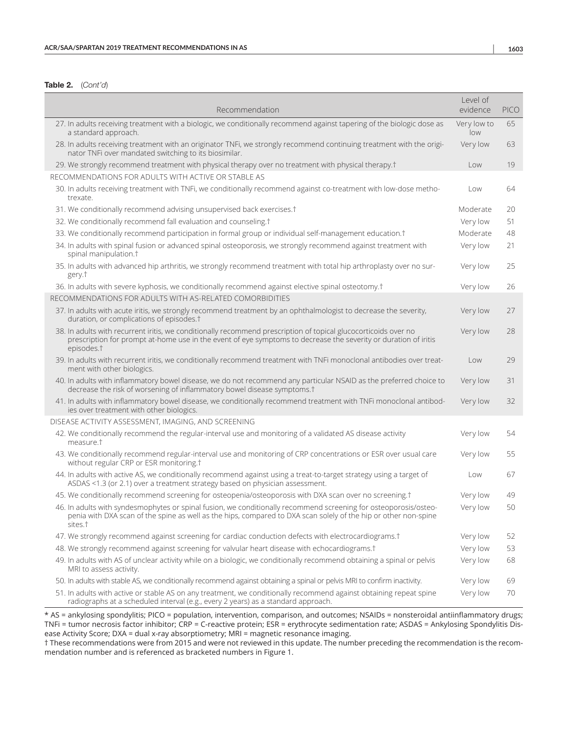#### Table 2. (*Cont'd*)

| Recommendation                                                                                                                                                                                                                                               | Level of<br>evidence | <b>PICO</b> |
|--------------------------------------------------------------------------------------------------------------------------------------------------------------------------------------------------------------------------------------------------------------|----------------------|-------------|
| 27. In adults receiving treatment with a biologic, we conditionally recommend against tapering of the biologic dose as<br>a standard approach.                                                                                                               | Very low to<br>low   | 65          |
| 28. In adults receiving treatment with an originator TNFi, we strongly recommend continuing treatment with the origi-<br>nator TNFi over mandated switching to its biosimilar.                                                                               | Very low             | 63          |
| 29. We strongly recommend treatment with physical therapy over no treatment with physical therapy. <sup>†</sup>                                                                                                                                              | Low                  | 19          |
| RECOMMENDATIONS FOR ADULTS WITH ACTIVE OR STABLE AS                                                                                                                                                                                                          |                      |             |
| 30. In adults receiving treatment with TNFi, we conditionally recommend against co-treatment with low-dose metho-<br>trexate.                                                                                                                                | Low                  | 64          |
| 31. We conditionally recommend advising unsupervised back exercises. <sup>†</sup>                                                                                                                                                                            | Moderate             | 20          |
| 32. We conditionally recommend fall evaluation and counseling. <sup>†</sup>                                                                                                                                                                                  | Very low             | 51          |
| 33. We conditionally recommend participation in formal group or individual self-management education. <sup>†</sup>                                                                                                                                           | Moderate             | 48          |
| 34. In adults with spinal fusion or advanced spinal osteoporosis, we strongly recommend against treatment with<br>spinal manipulation.t                                                                                                                      | Very low             | 21          |
| 35. In adults with advanced hip arthritis, we strongly recommend treatment with total hip arthroplasty over no sur-<br>gery.t                                                                                                                                | Very low             | 25          |
| 36. In adults with severe kyphosis, we conditionally recommend against elective spinal osteotomy. <sup>†</sup>                                                                                                                                               | Very low             | 26          |
| RECOMMENDATIONS FOR ADULTS WITH AS-RELATED COMORBIDITIES                                                                                                                                                                                                     |                      |             |
| 37. In adults with acute iritis, we strongly recommend treatment by an ophthalmologist to decrease the severity,<br>duration, or complications of episodes. <sup>†</sup>                                                                                     | Very low             | 27          |
| 38. In adults with recurrent iritis, we conditionally recommend prescription of topical glucocorticoids over no<br>prescription for prompt at-home use in the event of eye symptoms to decrease the severity or duration of iritis<br>episodes. <sup>†</sup> | Very low             | 28          |
| 39. In adults with recurrent iritis, we conditionally recommend treatment with TNFi monoclonal antibodies over treat-<br>ment with other biologics.                                                                                                          | Low                  | 29          |
| 40. In adults with inflammatory bowel disease, we do not recommend any particular NSAID as the preferred choice to<br>decrease the risk of worsening of inflammatory bowel disease symptoms.t                                                                | Very low             | 31          |
| 41. In adults with inflammatory bowel disease, we conditionally recommend treatment with TNFi monoclonal antibod-<br>ies over treatment with other biologics.                                                                                                | Very low             | 32          |
| DISEASE ACTIVITY ASSESSMENT, IMAGING, AND SCREENING                                                                                                                                                                                                          |                      |             |
| 42. We conditionally recommend the regular-interval use and monitoring of a validated AS disease activity<br>measure. <sup>†</sup>                                                                                                                           | Very low             | 54          |
| 43. We conditionally recommend regular-interval use and monitoring of CRP concentrations or ESR over usual care<br>without regular CRP or ESR monitoring.t                                                                                                   | Very low             | 55          |
| 44. In adults with active AS, we conditionally recommend against using a treat-to-target strategy using a target of<br>ASDAS <1.3 (or 2.1) over a treatment strategy based on physician assessment.                                                          | Low                  | 67          |
| 45. We conditionally recommend screening for osteopenia/osteoporosis with DXA scan over no screening. <sup>†</sup>                                                                                                                                           | Very low             | 49          |
| 46. In adults with syndesmophytes or spinal fusion, we conditionally recommend screening for osteoporosis/osteo-<br>penia with DXA scan of the spine as well as the hips, compared to DXA scan solely of the hip or other non-spine<br>sites. <sup>†</sup>   | Very low             | 50          |
| 47. We strongly recommend against screening for cardiac conduction defects with electrocardiograms. <sup>†</sup>                                                                                                                                             | Very low             | 52          |
| 48. We strongly recommend against screening for valvular heart disease with echocardiograms. <sup>†</sup>                                                                                                                                                    | Very low             | 53          |
| 49. In adults with AS of unclear activity while on a biologic, we conditionally recommend obtaining a spinal or pelvis<br>MRI to assess activity.                                                                                                            | Very low             | 68          |
| 50. In adults with stable AS, we conditionally recommend against obtaining a spinal or pelvis MRI to confirm inactivity.                                                                                                                                     | Very low             | 69          |
| 51. In adults with active or stable AS on any treatment, we conditionally recommend against obtaining repeat spine<br>radiographs at a scheduled interval (e.g., every 2 years) as a standard approach.                                                      | Very low             | 70          |

\* AS = ankylosing spondylitis; PICO = population, intervention, comparison, and outcomes; NSAIDs = nonsteroidal antiinflammatory drugs; TNFi = tumor necrosis factor inhibitor; CRP = C-reactive protein; ESR = erythrocyte sedimentation rate; ASDAS = Ankylosing Spondylitis Disease Activity Score; DXA = dual x-ray absorptiometry; MRI = magnetic resonance imaging.

† These recommendations were from 2015 and were not reviewed in this update. The number preceding the recommendation is the recommendation number and is referenced as bracketed numbers in Figure 1.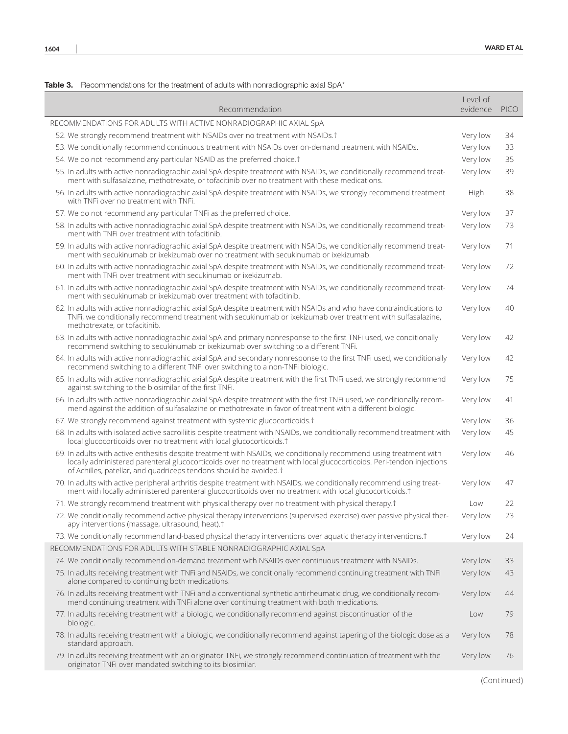# Table 3. Recommendations for the treatment of adults with nonradiographic axial SpA\*

| Recommendation                                                                                                                                                                                                                                                                                                               | Level of<br>evidence | <b>PICO</b> |  |  |  |  |
|------------------------------------------------------------------------------------------------------------------------------------------------------------------------------------------------------------------------------------------------------------------------------------------------------------------------------|----------------------|-------------|--|--|--|--|
|                                                                                                                                                                                                                                                                                                                              |                      |             |  |  |  |  |
| RECOMMENDATIONS FOR ADULTS WITH ACTIVE NONRADIOGRAPHIC AXIAL SpA                                                                                                                                                                                                                                                             |                      |             |  |  |  |  |
| 52. We strongly recommend treatment with NSAIDs over no treatment with NSAIDs. <sup>†</sup>                                                                                                                                                                                                                                  | Very low             | 34          |  |  |  |  |
| 53. We conditionally recommend continuous treatment with NSAIDs over on-demand treatment with NSAIDs.                                                                                                                                                                                                                        | Very low             | 33          |  |  |  |  |
| 54. We do not recommend any particular NSAID as the preferred choice. <sup>†</sup>                                                                                                                                                                                                                                           | Very low             | 35          |  |  |  |  |
| 55. In adults with active nonradiographic axial SpA despite treatment with NSAIDs, we conditionally recommend treat-<br>ment with sulfasalazine, methotrexate, or tofacitinib over no treatment with these medications.                                                                                                      | Very low             | 39          |  |  |  |  |
| 56. In adults with active nonradiographic axial SpA despite treatment with NSAIDs, we strongly recommend treatment<br>with TNFi over no treatment with TNFi.                                                                                                                                                                 | High                 | 38          |  |  |  |  |
| 57. We do not recommend any particular TNFi as the preferred choice.                                                                                                                                                                                                                                                         | Very low             | 37          |  |  |  |  |
| 58. In adults with active nonradiographic axial SpA despite treatment with NSAIDs, we conditionally recommend treat-<br>ment with TNFi over treatment with tofacitinib.                                                                                                                                                      | Very low             | 73          |  |  |  |  |
| 59. In adults with active nonradiographic axial SpA despite treatment with NSAIDs, we conditionally recommend treat-<br>ment with secukinumab or ixekizumab over no treatment with secukinumab or ixekizumab.                                                                                                                | Very low             | 71          |  |  |  |  |
| 60. In adults with active nonradiographic axial SpA despite treatment with NSAIDs, we conditionally recommend treat-<br>ment with TNFi over treatment with secukinumab or ixekizumab.                                                                                                                                        | Very low             | 72          |  |  |  |  |
| 61. In adults with active nonradiographic axial SpA despite treatment with NSAIDs, we conditionally recommend treat-<br>ment with secukinumab or ixekizumab over treatment with tofacitinib.                                                                                                                                 | Very low             | 74          |  |  |  |  |
| 62. In adults with active nonradiographic axial SpA despite treatment with NSAIDs and who have contraindications to<br>TNFi, we conditionally recommend treatment with secukinumab or ixekizumab over treatment with sulfasalazine,<br>methotrexate, or tofacitinib.                                                         | Very low             | 40          |  |  |  |  |
| 63. In adults with active nonradiographic axial SpA and primary nonresponse to the first TNFi used, we conditionally<br>recommend switching to secukinumab or ixekizumab over switching to a different TNFi.                                                                                                                 | Very low             | 42          |  |  |  |  |
| 64. In adults with active nonradiographic axial SpA and secondary nonresponse to the first TNFi used, we conditionally<br>recommend switching to a different TNFi over switching to a non-TNFi biologic.                                                                                                                     | Very low             | 42          |  |  |  |  |
| 65. In adults with active nonradiographic axial SpA despite treatment with the first TNFi used, we strongly recommend<br>against switching to the biosimilar of the first TNFi.                                                                                                                                              | Very low             | 75          |  |  |  |  |
| 66. In adults with active nonradiographic axial SpA despite treatment with the first TNFi used, we conditionally recom-<br>mend against the addition of sulfasalazine or methotrexate in favor of treatment with a different biologic.                                                                                       | Very low             | 41          |  |  |  |  |
| 67. We strongly recommend against treatment with systemic glucocorticoids. <sup>†</sup>                                                                                                                                                                                                                                      | Very low             | 36          |  |  |  |  |
| 68. In adults with isolated active sacroiliitis despite treatment with NSAIDs, we conditionally recommend treatment with<br>local glucocorticoids over no treatment with local glucocorticoids. <sup>†</sup>                                                                                                                 | Very low             | 45          |  |  |  |  |
| 69. In adults with active enthesitis despite treatment with NSAIDs, we conditionally recommend using treatment with<br>locally administered parenteral glucocorticoids over no treatment with local glucocorticoids. Peri-tendon injections<br>of Achilles, patellar, and quadriceps tendons should be avoided. <sup>†</sup> | Very low             | 46          |  |  |  |  |
| 70. In adults with active peripheral arthritis despite treatment with NSAIDs, we conditionally recommend using treat-<br>ment with locally administered parenteral glucocorticoids over no treatment with local glucocorticoids. <sup>†</sup>                                                                                | Very low             | 47          |  |  |  |  |
| 71. We strongly recommend treatment with physical therapy over no treatment with physical therapy. <sup>†</sup>                                                                                                                                                                                                              | Low                  | 22          |  |  |  |  |
| 72. We conditionally recommend active physical therapy interventions (supervised exercise) over passive physical ther-<br>apy interventions (massage, ultrasound, heat).t                                                                                                                                                    | Very low             | 23          |  |  |  |  |
| 73. We conditionally recommend land-based physical therapy interventions over aquatic therapy interventions. <sup>†</sup>                                                                                                                                                                                                    | Very low             | 24          |  |  |  |  |
| RECOMMENDATIONS FOR ADULTS WITH STABLE NONRADIOGRAPHIC AXIAL SpA                                                                                                                                                                                                                                                             |                      |             |  |  |  |  |
| 74. We conditionally recommend on-demand treatment with NSAIDs over continuous treatment with NSAIDs.                                                                                                                                                                                                                        | Very low             | 33          |  |  |  |  |
| 75. In adults receiving treatment with TNFi and NSAIDs, we conditionally recommend continuing treatment with TNFi<br>alone compared to continuing both medications.                                                                                                                                                          | Very low             | 43          |  |  |  |  |
| 76. In adults receiving treatment with TNFi and a conventional synthetic antirheumatic drug, we conditionally recom-<br>mend continuing treatment with TNFi alone over continuing treatment with both medications.                                                                                                           | Very low             | 44          |  |  |  |  |
| 77. In adults receiving treatment with a biologic, we conditionally recommend against discontinuation of the<br>biologic.                                                                                                                                                                                                    | Low                  | 79          |  |  |  |  |
| 78. In adults receiving treatment with a biologic, we conditionally recommend against tapering of the biologic dose as a<br>standard approach.                                                                                                                                                                               | Very low             | 78          |  |  |  |  |
| 79. In adults receiving treatment with an originator TNFi, we strongly recommend continuation of treatment with the<br>originator TNFi over mandated switching to its biosimilar.                                                                                                                                            | Very low             | 76          |  |  |  |  |

(Continued)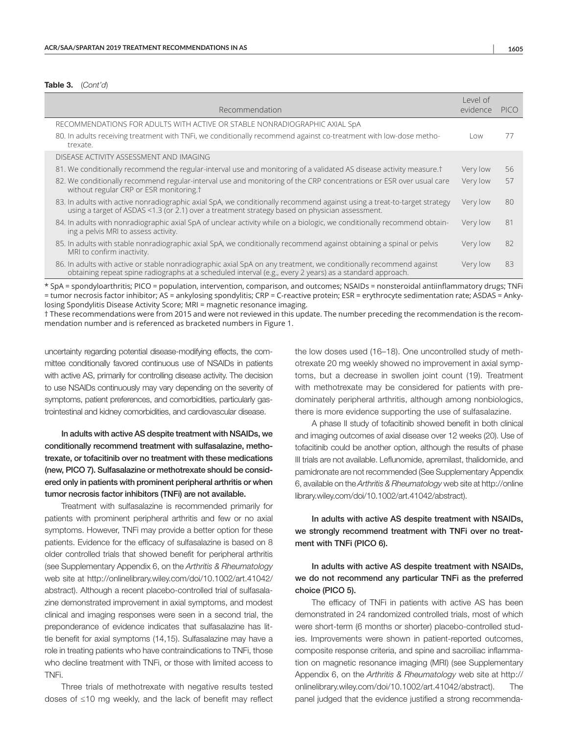#### Table 3. (*Cont'd*)

| Recommendation                                                                                                                                                                                                                 | Level of<br>evidence | <b>PICO</b> |
|--------------------------------------------------------------------------------------------------------------------------------------------------------------------------------------------------------------------------------|----------------------|-------------|
| RECOMMENDATIONS FOR ADULTS WITH ACTIVE OR STABLE NONRADIOGRAPHIC AXIAL SpA                                                                                                                                                     |                      |             |
| 80. In adults receiving treatment with TNFi, we conditionally recommend against co-treatment with low-dose metho-<br>trexate.                                                                                                  | l ow                 | 77          |
| DISFASE ACTIVITY ASSESSMENT AND IMAGING                                                                                                                                                                                        |                      |             |
| 81. We conditionally recommend the regular-interval use and monitoring of a validated AS disease activity measure. <sup>†</sup>                                                                                                | Very low             | 56          |
| 82. We conditionally recommend regular-interval use and monitoring of the CRP concentrations or ESR over usual care<br>without regular CRP or ESR monitoring. <sup>†</sup>                                                     | Very low             | 57          |
| 83. In adults with active nonradiographic axial SpA, we conditionally recommend against using a treat-to-target strategy<br>using a target of ASDAS <1.3 (or 2.1) over a treatment strategy based on physician assessment.     | Very low             | 80          |
| 84. In adults with nonradiographic axial SpA of unclear activity while on a biologic, we conditionally recommend obtain-<br>ing a pelvis MRI to assess activity.                                                               | Very low             | 81          |
| 85. In adults with stable nonradiographic axial SpA, we conditionally recommend against obtaining a spinal or pelvis<br>MRI to confirm inactivity.                                                                             | Very low             | 82          |
| 86. In adults with active or stable nonradiographic axial SpA on any treatment, we conditionally recommend against<br>obtaining repeat spine radiographs at a scheduled interval (e.g., every 2 years) as a standard approach. | Very low             | 83          |

\* SpA = spondyloarthritis; PICO = population, intervention, comparison, and outcomes; NSAIDs = nonsteroidal antiinflammatory drugs; TNFi = tumor necrosis factor inhibitor; AS = ankylosing spondylitis; CRP = C-reactive protein; ESR = erythrocyte sedimentation rate; ASDAS = Ankylosing Spondylitis Disease Activity Score; MRI = magnetic resonance imaging.

† These recommendations were from 2015 and were not reviewed in this update. The number preceding the recommendation is the recommendation number and is referenced as bracketed numbers in Figure 1.

uncertainty regarding potential disease-modifying effects, the committee conditionally favored continuous use of NSAIDs in patients with active AS, primarily for controlling disease activity. The decision to use NSAIDs continuously may vary depending on the severity of symptoms, patient preferences, and comorbidities, particularly gastrointestinal and kidney comorbidities, and cardiovascular disease.

In adults with active AS despite treatment with NSAIDs, we conditionally recommend treatment with sulfasalazine, methotrexate, or tofacitinib over no treatment with these medications (new, PICO 7). Sulfasalazine or methotrexate should be considered only in patients with prominent peripheral arthritis or when tumor necrosis factor inhibitors (TNFi) are not available.

Treatment with sulfasalazine is recommended primarily for patients with prominent peripheral arthritis and few or no axial symptoms. However, TNFi may provide a better option for these patients. Evidence for the efficacy of sulfasalazine is based on 8 older controlled trials that showed benefit for peripheral arthritis (see Supplementary Appendix 6, on the *Arthritis & Rheumatology* web site at [http://onlinelibrary.wiley.com/doi/10.1002/art.41042/](http://onlinelibrary.wiley.com/doi/10.1002/art.41042/abstract) [abstract](http://onlinelibrary.wiley.com/doi/10.1002/art.41042/abstract)). Although a recent placebo-controlled trial of sulfasalazine demonstrated improvement in axial symptoms, and modest clinical and imaging responses were seen in a second trial, the preponderance of evidence indicates that sulfasalazine has little benefit for axial symptoms (14,15). Sulfasalazine may have a role in treating patients who have contraindications to TNFi, those who decline treatment with TNFi, or those with limited access to TNFi.

Three trials of methotrexate with negative results tested doses of ≤10 mg weekly, and the lack of benefit may reflect

the low doses used (16–18). One uncontrolled study of methotrexate 20 mg weekly showed no improvement in axial symptoms, but a decrease in swollen joint count (19). Treatment with methotrexate may be considered for patients with predominately peripheral arthritis, although among nonbiologics, there is more evidence supporting the use of sulfasalazine.

A phase II study of tofacitinib showed benefit in both clinical and imaging outcomes of axial disease over 12 weeks (20). Use of tofacitinib could be another option, although the results of phase III trials are not available. Leflunomide, apremilast, thalidomide, and pamidronate are not recommended (See Supplementary Appendix 6, available on the *Arthritis & Rheumatology* web site at [http://online](http://onlinelibrary.wiley.com/doi/10.1002/art.41042/abstract) [library.wiley.com/doi/10.1002/art.41042/abstract](http://onlinelibrary.wiley.com/doi/10.1002/art.41042/abstract)).

# In adults with active AS despite treatment with NSAIDs, we strongly recommend treatment with TNFi over no treatment with TNFi (PICO 6).

#### In adults with active AS despite treatment with NSAIDs, we do not recommend any particular TNFi as the preferred choice (PICO 5).

The efficacy of TNFi in patients with active AS has been demonstrated in 24 randomized controlled trials, most of which were short-term (6 months or shorter) placebo-controlled studies. Improvements were shown in patient-reported outcomes, composite response criteria, and spine and sacroiliac inflammation on magnetic resonance imaging (MRI) (see Supplementary Appendix 6, on the *Arthritis & Rheumatology* web site at [http://](http://onlinelibrary.wiley.com/doi/10.1002/art.41042/abstract) [onlinelibrary.wiley.com/doi/10.1002/art.41042/abstract\)](http://onlinelibrary.wiley.com/doi/10.1002/art.41042/abstract). The panel judged that the evidence justified a strong recommenda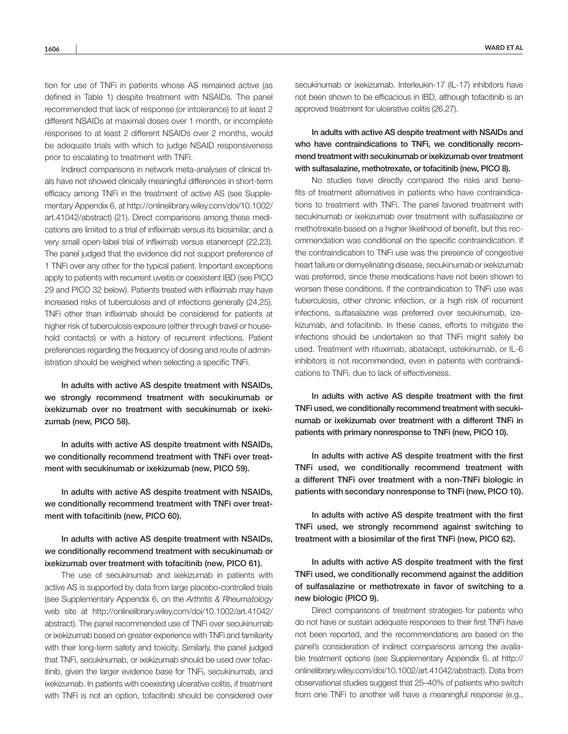tion for use of TNFi in patients whose AS remained active (as defined in Table 1) despite treatment with NSAIDs. The panel recommended that lack of response (or intolerance) to at least 2 different NSAIDs at maximal doses over 1 month, or incomplete responses to at least 2 different NSAIDs over 2 months, would be adequate trials with which to judge NSAID responsiveness prior to escalating to treatment with TNFi.

Indirect comparisons in network meta-analyses of clinical trials have not showed clinically meaningful differences in short-term efficacy among TNFi in the treatment of active AS (see Supplementary Appendix 6, at [http://onlinelibrary.wiley.com/doi/10.1002/](http://onlinelibrary.wiley.com/doi/10.1002/art.41042/abstract) [art.41042/abstract](http://onlinelibrary.wiley.com/doi/10.1002/art.41042/abstract)) (21). Direct comparisons among these medications are limited to a trial of infliximab versus its biosimilar, and a very small open-label trial of infliximab versus etanercept (22,23). The panel judged that the evidence did not support preference of 1 TNFi over any other for the typical patient. Important exceptions apply to patients with recurrent uveitis or coexistent IBD (see PICO 29 and PICO 32 below). Patients treated with infliximab may have increased risks of tuberculosis and of infections generally (24,25). TNFi other than infliximab should be considered for patients at higher risk of tuberculosis exposure (either through travel or household contacts) or with a history of recurrent infections. Patient preferences regarding the frequency of dosing and route of administration should be weighed when selecting a specific TNFi.

In adults with active AS despite treatment with NSAIDs, we strongly recommend treatment with secukinumab or ixekizumab over no treatment with secukinumab or ixekizumab (new, PICO 58).

In adults with active AS despite treatment with NSAIDs, we conditionally recommend treatment with TNFi over treatment with secukinumab or ixekizumab (new, PICO 59).

In adults with active AS despite treatment with NSAIDs, we conditionally recommend treatment with TNFi over treatment with tofacitinib (new, PICO 60).

In adults with active AS despite treatment with NSAIDs, we conditionally recommend treatment with secukinumab or ixekizumab over treatment with tofacitinib (new, PICO 61).

The use of secukinumab and ixekizumab in patients with active AS is supported by data from large placebo-controlled trials (see Supplementary Appendix 6, on the *Arthritis & Rheumatology* web site at [http://onlinelibrary.wiley.com/doi/10.1002/art.41042/](http://onlinelibrary.wiley.com/doi/10.1002/art.41042/abstract) [abstract\)](http://onlinelibrary.wiley.com/doi/10.1002/art.41042/abstract). The panel recommended use of TNFi over secukinumab or ixekizumab based on greater experience with TNFi and familiarity with their long-term safety and toxicity. Similarly, the panel judged that TNFi, secukinumab, or ixekizumab should be used over tofacitinib, given the larger evidence base for TNFi, secukinumab, and ixekizumab. In patients with coexisting ulcerative colitis, if treatment with TNFi is not an option, tofacitinib should be considered over

secukinumab or ixekizumab. Interleukin-17 (IL-17) inhibitors have not been shown to be efficacious in IBD, although tofacitinib is an approved treatment for ulcerative colitis (26,27).

# In adults with active AS despite treatment with NSAIDs and who have contraindications to TNFi, we conditionally recommend treatment with secukinumab or ixekizumab over treatment with sulfasalazine, methotrexate, or tofacitinib (new, PICO 8).

No studies have directly compared the risks and benefits of treatment alternatives in patients who have contraindications to treatment with TNFi. The panel favored treatment with secukinumab or ixekizumab over treatment with sulfasalazine or methotrexate based on a higher likelihood of benefit, but this recommendation was conditional on the specific contraindication. If the contraindication to TNFi use was the presence of congestive heart failure or demyelinating disease, secukinumab or ixekizumab was preferred, since these medications have not been shown to worsen these conditions. If the contraindication to TNFi use was tuberculosis, other chronic infection, or a high risk of recurrent infections, sulfasalazine was preferred over secukinumab, izekizumab, and tofacitinib. In these cases, efforts to mitigate the infections should be undertaken so that TNFi might safely be used. Treatment with rituximab, abatacept, ustekinumab, or IL-6 inhibitors is not recommended, even in patients with contraindications to TNFi, due to lack of effectiveness.

In adults with active AS despite treatment with the first TNFi used, we conditionally recommend treatment with secukinumab or ixekizumab over treatment with a different TNFi in patients with primary nonresponse to TNFi (new, PICO 10).

In adults with active AS despite treatment with the first TNFi used, we conditionally recommend treatment with a different TNFi over treatment with a non-TNFi biologic in patients with secondary nonresponse to TNFi (new, PICO 10).

In adults with active AS despite treatment with the first TNFi used, we strongly recommend against switching to treatment with a biosimilar of the first TNFi (new, PICO 62).

In adults with active AS despite treatment with the first TNFi used, we conditionally recommend against the addition of sulfasalazine or methotrexate in favor of switching to a new biologic (PICO 9).

Direct comparisons of treatment strategies for patients who do not have or sustain adequate responses to their first TNFi have not been reported, and the recommendations are based on the panel's consideration of indirect comparisons among the available treatment options (see Supplementary Appendix 6, at [http://](http://onlinelibrary.wiley.com/doi/10.1002/art.41042/abstract) [onlinelibrary.wiley.com/doi/10.1002/art.41042/abstract\)](http://onlinelibrary.wiley.com/doi/10.1002/art.41042/abstract). Data from observational studies suggest that 25–40% of patients who switch from one TNFi to another will have a meaningful response (e.g.,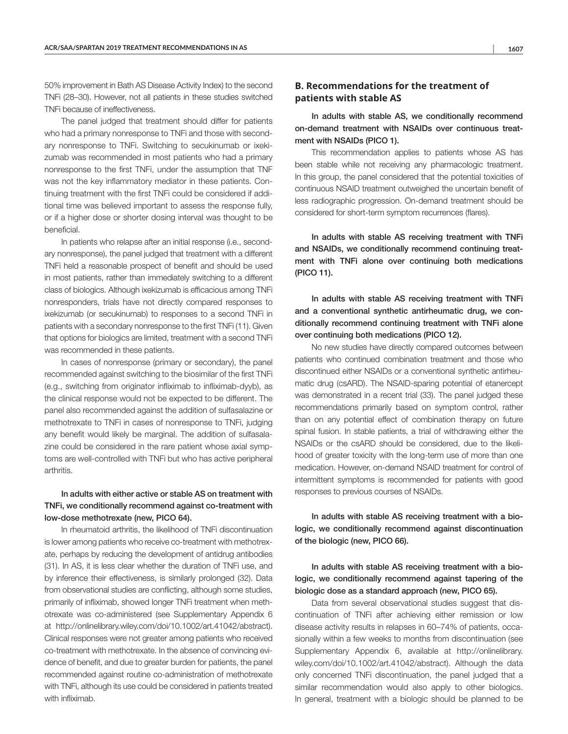50% improvement in Bath AS Disease Activity Index) to the second TNFi (28–30). However, not all patients in these studies switched TNFi because of ineffectiveness.

The panel judged that treatment should differ for patients who had a primary nonresponse to TNFi and those with secondary nonresponse to TNFi. Switching to secukinumab or ixekizumab was recommended in most patients who had a primary nonresponse to the first TNFi, under the assumption that TNF was not the key inflammatory mediator in these patients. Continuing treatment with the first TNFi could be considered if additional time was believed important to assess the response fully, or if a higher dose or shorter dosing interval was thought to be beneficial.

In patients who relapse after an initial response (i.e., secondary nonresponse), the panel judged that treatment with a different TNFi held a reasonable prospect of benefit and should be used in most patients, rather than immediately switching to a different class of biologics. Although ixekizumab is efficacious among TNFi nonresponders, trials have not directly compared responses to ixekizumab (or secukinumab) to responses to a second TNFi in patients with a secondary nonresponse to the first TNFi (11). Given that options for biologics are limited, treatment with a second TNFi was recommended in these patients.

In cases of nonresponse (primary or secondary), the panel recommended against switching to the biosimilar of the first TNFi (e.g., switching from originator infliximab to infliximab-dyyb), as the clinical response would not be expected to be different. The panel also recommended against the addition of sulfasalazine or methotrexate to TNFi in cases of nonresponse to TNFi, judging any benefit would likely be marginal. The addition of sulfasalazine could be considered in the rare patient whose axial symptoms are well-controlled with TNFi but who has active peripheral arthritis.

## In adults with either active or stable AS on treatment with TNFi, we conditionally recommend against co-treatment with low-dose methotrexate (new, PICO 64).

In rheumatoid arthritis, the likelihood of TNFi discontinuation is lower among patients who receive co-treatment with methotrexate, perhaps by reducing the development of antidrug antibodies (31). In AS, it is less clear whether the duration of TNFi use, and by inference their effectiveness, is similarly prolonged (32). Data from observational studies are conflicting, although some studies, primarily of infliximab, showed longer TNFi treatment when methotrexate was co-administered (see Supplementary Appendix 6 at <http://onlinelibrary.wiley.com/doi/10.1002/art.41042/abstract>). Clinical responses were not greater among patients who received co-treatment with methotrexate. In the absence of convincing evidence of benefit, and due to greater burden for patients, the panel recommended against routine co-administration of methotrexate with TNFi, although its use could be considered in patients treated with infliximab.

# **B. Recommendations for the treatment of patients with stable AS**

In adults with stable AS, we conditionally recommend on-demand treatment with NSAIDs over continuous treatment with NSAIDs (PICO 1).

This recommendation applies to patients whose AS has been stable while not receiving any pharmacologic treatment. In this group, the panel considered that the potential toxicities of continuous NSAID treatment outweighed the uncertain benefit of less radiographic progression. On-demand treatment should be considered for short-term symptom recurrences (flares).

In adults with stable AS receiving treatment with TNFi and NSAIDs, we conditionally recommend continuing treatment with TNFi alone over continuing both medications (PICO 11).

In adults with stable AS receiving treatment with TNFi and a conventional synthetic antirheumatic drug, we conditionally recommend continuing treatment with TNFi alone over continuing both medications (PICO 12).

No new studies have directly compared outcomes between patients who continued combination treatment and those who discontinued either NSAIDs or a conventional synthetic antirheumatic drug (csARD). The NSAID-sparing potential of etanercept was demonstrated in a recent trial (33). The panel judged these recommendations primarily based on symptom control, rather than on any potential effect of combination therapy on future spinal fusion. In stable patients, a trial of withdrawing either the NSAIDs or the csARD should be considered, due to the likelihood of greater toxicity with the long-term use of more than one medication. However, on-demand NSAID treatment for control of intermittent symptoms is recommended for patients with good responses to previous courses of NSAIDs.

In adults with stable AS receiving treatment with a biologic, we conditionally recommend against discontinuation of the biologic (new, PICO 66).

## In adults with stable AS receiving treatment with a biologic, we conditionally recommend against tapering of the biologic dose as a standard approach (new, PICO 65).

Data from several observational studies suggest that discontinuation of TNFi after achieving either remission or low disease activity results in relapses in 60–74% of patients, occasionally within a few weeks to months from discontinuation (see Supplementary Appendix 6, available at [http://onlinelibrary.](http://onlinelibrary.wiley.com/doi/10.1002/art.41042/abstract) [wiley.com/doi/10.1002/art.41042/abstract](http://onlinelibrary.wiley.com/doi/10.1002/art.41042/abstract)). Although the data only concerned TNFi discontinuation, the panel judged that a similar recommendation would also apply to other biologics. In general, treatment with a biologic should be planned to be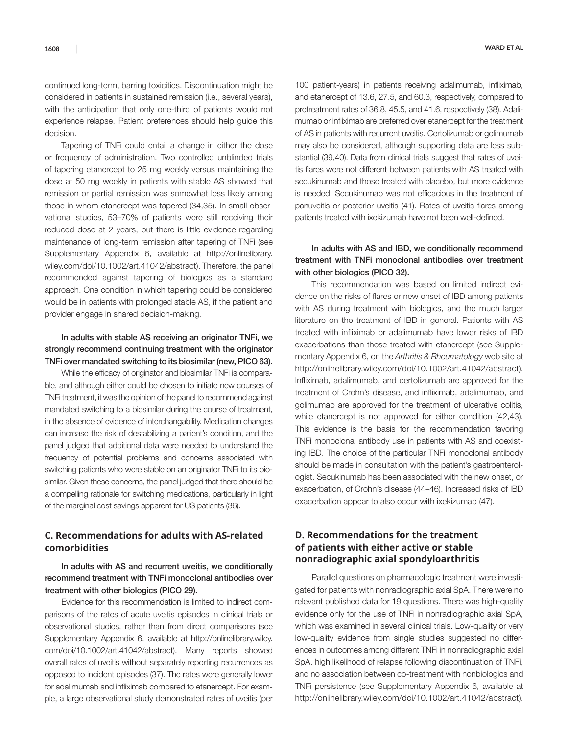continued long-term, barring toxicities. Discontinuation might be considered in patients in sustained remission (i.e., several years), with the anticipation that only one-third of patients would not experience relapse. Patient preferences should help guide this decision.

Tapering of TNFi could entail a change in either the dose or frequency of administration. Two controlled unblinded trials of tapering etanercept to 25 mg weekly versus maintaining the dose at 50 mg weekly in patients with stable AS showed that remission or partial remission was somewhat less likely among those in whom etanercept was tapered (34,35). In small observational studies, 53–70% of patients were still receiving their reduced dose at 2 years, but there is little evidence regarding maintenance of long-term remission after tapering of TNFi (see Supplementary Appendix 6, available at [http://onlinelibrary.](http://onlinelibrary.wiley.com/doi/10.1002/art.41042/abstract) [wiley.com/doi/10.1002/art.41042/abstract\)](http://onlinelibrary.wiley.com/doi/10.1002/art.41042/abstract). Therefore, the panel recommended against tapering of biologics as a standard approach. One condition in which tapering could be considered would be in patients with prolonged stable AS, if the patient and provider engage in shared decision-making.

## In adults with stable AS receiving an originator TNFi, we strongly recommend continuing treatment with the originator TNFi over mandated switching to its biosimilar (new, PICO 63).

While the efficacy of originator and biosimilar TNFi is comparable, and although either could be chosen to initiate new courses of TNFi treatment, it was the opinion of the panel to recommend against mandated switching to a biosimilar during the course of treatment, in the absence of evidence of interchangability. Medication changes can increase the risk of destabilizing a patient's condition, and the panel judged that additional data were needed to understand the frequency of potential problems and concerns associated with switching patients who were stable on an originator TNFi to its biosimilar. Given these concerns, the panel judged that there should be a compelling rationale for switching medications, particularly in light of the marginal cost savings apparent for US patients (36).

# **C. Recommendations for adults with AS-related comorbidities**

In adults with AS and recurrent uveitis, we conditionally recommend treatment with TNFi monoclonal antibodies over treatment with other biologics (PICO 29).

Evidence for this recommendation is limited to indirect comparisons of the rates of acute uveitis episodes in clinical trials or observational studies, rather than from direct comparisons (see Supplementary Appendix 6, available at [http://onlinelibrary.wiley.](http://onlinelibrary.wiley.com/doi/10.1002/art.41042/abstract) [com/doi/10.1002/art.41042/abstract](http://onlinelibrary.wiley.com/doi/10.1002/art.41042/abstract)). Many reports showed overall rates of uveitis without separately reporting recurrences as opposed to incident episodes (37). The rates were generally lower for adalimumab and infliximab compared to etanercept. For example, a large observational study demonstrated rates of uveitis (per

100 patient-years) in patients receiving adalimumab, infliximab, and etanercept of 13.6, 27.5, and 60.3, respectively, compared to pretreatment rates of 36.8, 45.5, and 41.6, respectively (38). Adalimumab or infliximab are preferred over etanercept for the treatment of AS in patients with recurrent uveitis. Certolizumab or golimumab may also be considered, although supporting data are less substantial (39,40). Data from clinical trials suggest that rates of uveitis flares were not different between patients with AS treated with secukinumab and those treated with placebo, but more evidence is needed. Secukinumab was not efficacious in the treatment of panuveitis or posterior uveitis (41). Rates of uveitis flares among patients treated with ixekizumab have not been well-defined.

# In adults with AS and IBD, we conditionally recommend treatment with TNFi monoclonal antibodies over treatment with other biologics (PICO 32).

This recommendation was based on limited indirect evidence on the risks of flares or new onset of IBD among patients with AS during treatment with biologics, and the much larger literature on the treatment of IBD in general. Patients with AS treated with infliximab or adalimumab have lower risks of IBD exacerbations than those treated with etanercept (see Supplementary Appendix 6, on the *Arthritis & Rheumatology* web site at <http://onlinelibrary.wiley.com/doi/10.1002/art.41042/abstract>). Infliximab, adalimumab, and certolizumab are approved for the treatment of Crohn's disease, and infliximab, adalimumab, and golimumab are approved for the treatment of ulcerative colitis, while etanercept is not approved for either condition (42,43). This evidence is the basis for the recommendation favoring TNFi monoclonal antibody use in patients with AS and coexisting IBD. The choice of the particular TNFi monoclonal antibody should be made in consultation with the patient's gastroenterologist. Secukinumab has been associated with the new onset, or exacerbation, of Crohn's disease (44–46). Increased risks of IBD exacerbation appear to also occur with ixekizumab (47).

# **D. Recommendations for the treatment of patients with either active or stable nonradiographic axial spondyloarthritis**

Parallel questions on pharmacologic treatment were investigated for patients with nonradiographic axial SpA. There were no relevant published data for 19 questions. There was high-quality evidence only for the use of TNFi in nonradiographic axial SpA, which was examined in several clinical trials. Low-quality or very low-quality evidence from single studies suggested no differences in outcomes among different TNFi in nonradiographic axial SpA, high likelihood of relapse following discontinuation of TNFi, and no association between co-treatment with nonbiologics and TNFi persistence (see Supplementary Appendix 6, available at <http://onlinelibrary.wiley.com/doi/10.1002/art.41042/abstract>).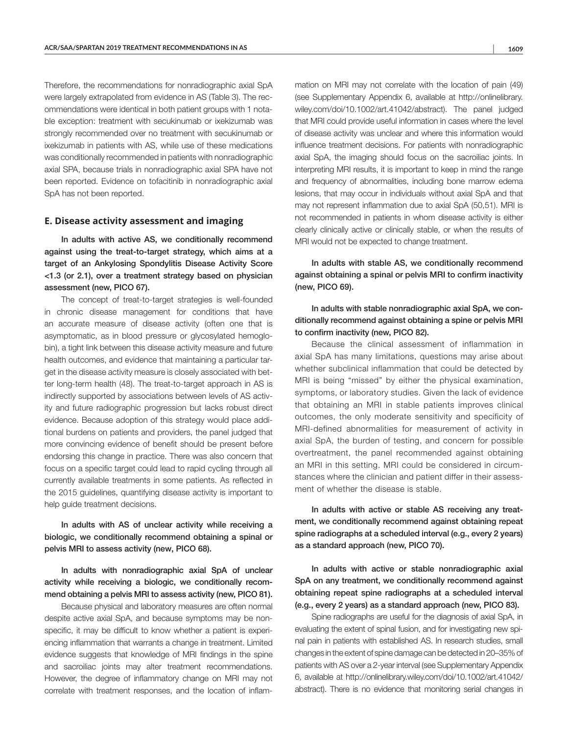Therefore, the recommendations for nonradiographic axial SpA were largely extrapolated from evidence in AS (Table 3). The recommendations were identical in both patient groups with 1 notable exception: treatment with secukinumab or ixekizumab was strongly recommended over no treatment with secukinumab or ixekizumab in patients with AS, while use of these medications was conditionally recommended in patients with nonradiographic axial SPA, because trials in nonradiographic axial SPA have not been reported. Evidence on tofacitinib in nonradiographic axial SpA has not been reported.

#### **E. Disease activity assessment and imaging**

In adults with active AS, we conditionally recommend against using the treat-to-target strategy, which aims at a target of an Ankylosing Spondylitis Disease Activity Score <1.3 (or 2.1), over a treatment strategy based on physician assessment (new, PICO 67).

The concept of treat-to-target strategies is well-founded in chronic disease management for conditions that have an accurate measure of disease activity (often one that is asymptomatic, as in blood pressure or glycosylated hemoglobin), a tight link between this disease activity measure and future health outcomes, and evidence that maintaining a particular target in the disease activity measure is closely associated with better long-term health (48). The treat-to-target approach in AS is indirectly supported by associations between levels of AS activity and future radiographic progression but lacks robust direct evidence. Because adoption of this strategy would place additional burdens on patients and providers, the panel judged that more convincing evidence of benefit should be present before endorsing this change in practice. There was also concern that focus on a specific target could lead to rapid cycling through all currently available treatments in some patients. As reflected in the 2015 guidelines, quantifying disease activity is important to help guide treatment decisions.

# In adults with AS of unclear activity while receiving a biologic, we conditionally recommend obtaining a spinal or pelvis MRI to assess activity (new, PICO 68).

# In adults with nonradiographic axial SpA of unclear activity while receiving a biologic, we conditionally recommend obtaining a pelvis MRI to assess activity (new, PICO 81).

Because physical and laboratory measures are often normal despite active axial SpA, and because symptoms may be nonspecific, it may be difficult to know whether a patient is experiencing inflammation that warrants a change in treatment. Limited evidence suggests that knowledge of MRI findings in the spine and sacroiliac joints may alter treatment recommendations. However, the degree of inflammatory change on MRI may not correlate with treatment responses, and the location of inflammation on MRI may not correlate with the location of pain (49) (see Supplementary Appendix 6, available at [http://onlinelibrary.](http://onlinelibrary.wiley.com/doi/10.1002/art.41042/abstract) [wiley.com/doi/10.1002/art.41042/abstract\)](http://onlinelibrary.wiley.com/doi/10.1002/art.41042/abstract). The panel judged that MRI could provide useful information in cases where the level of disease activity was unclear and where this information would influence treatment decisions. For patients with nonradiographic axial SpA, the imaging should focus on the sacroiliac joints. In interpreting MRI results, it is important to keep in mind the range and frequency of abnormalities, including bone marrow edema lesions, that may occur in individuals without axial SpA and that may not represent inflammation due to axial SpA (50,51). MRI is not recommended in patients in whom disease activity is either clearly clinically active or clinically stable, or when the results of MRI would not be expected to change treatment.

In adults with stable AS, we conditionally recommend against obtaining a spinal or pelvis MRI to confirm inactivity (new, PICO 69).

# In adults with stable nonradiographic axial SpA, we conditionally recommend against obtaining a spine or pelvis MRI to confirm inactivity (new, PICO 82).

Because the clinical assessment of inflammation in axial SpA has many limitations, questions may arise about whether subclinical inflammation that could be detected by MRI is being "missed" by either the physical examination, symptoms, or laboratory studies. Given the lack of evidence that obtaining an MRI in stable patients improves clinical outcomes, the only moderate sensitivity and specificity of MRI-defined abnormalities for measurement of activity in axial SpA, the burden of testing, and concern for possible overtreatment, the panel recommended against obtaining an MRI in this setting. MRI could be considered in circumstances where the clinician and patient differ in their assessment of whether the disease is stable.

In adults with active or stable AS receiving any treatment, we conditionally recommend against obtaining repeat spine radiographs at a scheduled interval (e.g., every 2 years) as a standard approach (new, PICO 70).

In adults with active or stable nonradiographic axial SpA on any treatment, we conditionally recommend against obtaining repeat spine radiographs at a scheduled interval (e.g., every 2 years) as a standard approach (new, PICO 83).

Spine radiographs are useful for the diagnosis of axial SpA, in evaluating the extent of spinal fusion, and for investigating new spinal pain in patients with established AS. In research studies, small changes in the extent of spine damage can be detected in 20–35% of patients with AS over a 2-year interval (see Supplementary Appendix 6, available at [http://onlinelibrary.wiley.com/doi/10.1002/art.41042/](http://onlinelibrary.wiley.com/doi/10.1002/art.41042/abstract) [abstract\)](http://onlinelibrary.wiley.com/doi/10.1002/art.41042/abstract). There is no evidence that monitoring serial changes in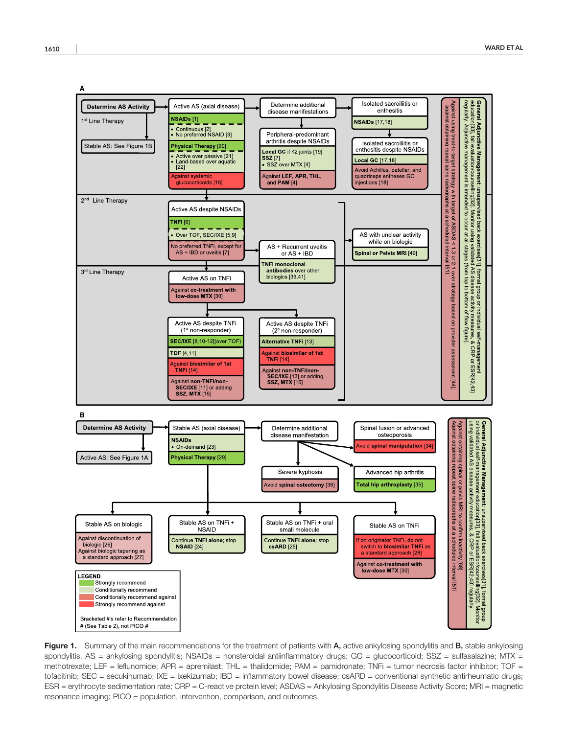

Figure 1. Summary of the main recommendations for the treatment of patients with A, active ankylosing spondylitis and B, stable ankylosing spondylitis. AS = ankylosing spondylitis; NSAIDs = nonsteroidal antiinflammatory drugs;  $GC =$  glucocorticoid;  $SSZ =$  sulfasalazine; MTX = methotrexate; LEF = leflunomide; APR = apremilast; THL = thalidomide; PAM = pamidronate; TNFi = tumor necrosis factor inhibitor; TOF = tofacitinib; SEC = secukinumab; IXE = ixekizumab; IBD = inflammatory bowel disease; csARD = conventional synthetic antirheumatic drugs; ESR = erythrocyte sedimentation rate; CRP = C-reactive protein level; ASDAS = Ankylosing Spondylitis Disease Activity Score; MRI = magnetic resonance imaging; PICO = population, intervention, comparison, and outcomes.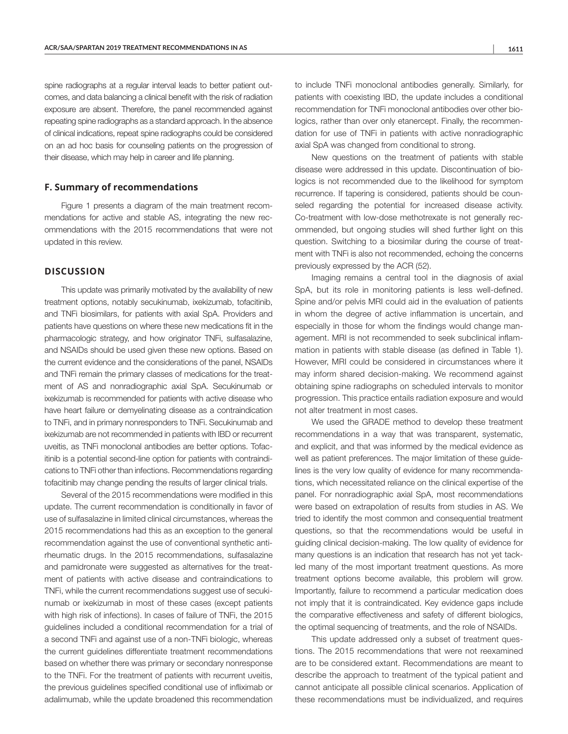spine radiographs at a regular interval leads to better patient outcomes, and data balancing a clinical benefit with the risk of radiation exposure are absent. Therefore, the panel recommended against repeating spine radiographs as a standard approach. In the absence of clinical indications, repeat spine radiographs could be considered on an ad hoc basis for counseling patients on the progression of their disease, which may help in career and life planning.

#### **F. Summary of recommendations**

Figure 1 presents a diagram of the main treatment recommendations for active and stable AS, integrating the new recommendations with the 2015 recommendations that were not updated in this review.

#### **DISCUSSION**

This update was primarily motivated by the availability of new treatment options, notably secukinumab, ixekizumab, tofacitinib, and TNFi biosimilars, for patients with axial SpA. Providers and patients have questions on where these new medications fit in the pharmacologic strategy, and how originator TNFi, sulfasalazine, and NSAIDs should be used given these new options. Based on the current evidence and the considerations of the panel, NSAIDs and TNFi remain the primary classes of medications for the treatment of AS and nonradiographic axial SpA. Secukinumab or ixekizumab is recommended for patients with active disease who have heart failure or demyelinating disease as a contraindication to TNFi, and in primary nonresponders to TNFi. Secukinumab and ixekizumab are not recommended in patients with IBD or recurrent uveitis, as TNFi monoclonal antibodies are better options. Tofacitinib is a potential second-line option for patients with contraindications to TNFi other than infections. Recommendations regarding tofacitinib may change pending the results of larger clinical trials.

Several of the 2015 recommendations were modified in this update. The current recommendation is conditionally in favor of use of sulfasalazine in limited clinical circumstances, whereas the 2015 recommendations had this as an exception to the general recommendation against the use of conventional synthetic antirheumatic drugs. In the 2015 recommendations, sulfasalazine and pamidronate were suggested as alternatives for the treatment of patients with active disease and contraindications to TNFi, while the current recommendations suggest use of secukinumab or ixekizumab in most of these cases (except patients with high risk of infections). In cases of failure of TNFi, the 2015 guidelines included a conditional recommendation for a trial of a second TNFi and against use of a non-TNFi biologic, whereas the current guidelines differentiate treatment recommendations based on whether there was primary or secondary nonresponse to the TNFi. For the treatment of patients with recurrent uveitis, the previous guidelines specified conditional use of infliximab or adalimumab, while the update broadened this recommendation

to include TNFi monoclonal antibodies generally. Similarly, for patients with coexisting IBD, the update includes a conditional recommendation for TNFi monoclonal antibodies over other biologics, rather than over only etanercept. Finally, the recommendation for use of TNFi in patients with active nonradiographic axial SpA was changed from conditional to strong.

New questions on the treatment of patients with stable disease were addressed in this update. Discontinuation of biologics is not recommended due to the likelihood for symptom recurrence. If tapering is considered, patients should be counseled regarding the potential for increased disease activity. Co-treatment with low-dose methotrexate is not generally recommended, but ongoing studies will shed further light on this question. Switching to a biosimilar during the course of treatment with TNFi is also not recommended, echoing the concerns previously expressed by the ACR (52).

Imaging remains a central tool in the diagnosis of axial SpA, but its role in monitoring patients is less well-defined. Spine and/or pelvis MRI could aid in the evaluation of patients in whom the degree of active inflammation is uncertain, and especially in those for whom the findings would change management. MRI is not recommended to seek subclinical inflammation in patients with stable disease (as defined in Table 1). However, MRI could be considered in circumstances where it may inform shared decision-making. We recommend against obtaining spine radiographs on scheduled intervals to monitor progression. This practice entails radiation exposure and would not alter treatment in most cases.

We used the GRADE method to develop these treatment recommendations in a way that was transparent, systematic, and explicit, and that was informed by the medical evidence as well as patient preferences. The major limitation of these guidelines is the very low quality of evidence for many recommendations, which necessitated reliance on the clinical expertise of the panel. For nonradiographic axial SpA, most recommendations were based on extrapolation of results from studies in AS. We tried to identify the most common and consequential treatment questions, so that the recommendations would be useful in guiding clinical decision-making. The low quality of evidence for many questions is an indication that research has not yet tackled many of the most important treatment questions. As more treatment options become available, this problem will grow. Importantly, failure to recommend a particular medication does not imply that it is contraindicated. Key evidence gaps include the comparative effectiveness and safety of different biologics, the optimal sequencing of treatments, and the role of NSAIDs.

This update addressed only a subset of treatment questions. The 2015 recommendations that were not reexamined are to be considered extant. Recommendations are meant to describe the approach to treatment of the typical patient and cannot anticipate all possible clinical scenarios. Application of these recommendations must be individualized, and requires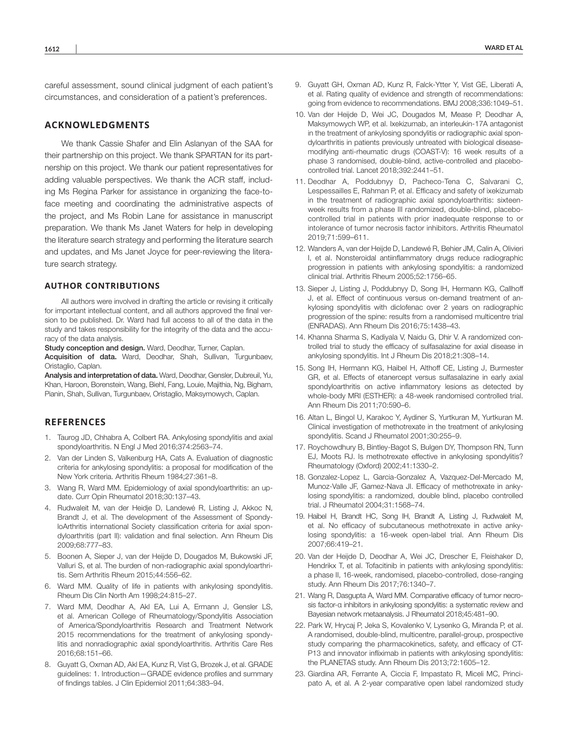careful assessment, sound clinical judgment of each patient's circumstances, and consideration of a patient's preferences.

#### **ACKNOWLEDGMENTS**

We thank Cassie Shafer and Elin Aslanyan of the SAA for their partnership on this project. We thank SPARTAN for its partnership on this project. We thank our patient representatives for adding valuable perspectives. We thank the ACR staff, including Ms Regina Parker for assistance in organizing the face-toface meeting and coordinating the administrative aspects of the project, and Ms Robin Lane for assistance in manuscript preparation. We thank Ms Janet Waters for help in developing the literature search strategy and performing the literature search and updates, and Ms Janet Joyce for peer-reviewing the literature search strategy.

#### **AUTHOR CONTRIBUTIONS**

All authors were involved in drafting the article or revising it critically for important intellectual content, and all authors approved the final version to be published. Dr. Ward had full access to all of the data in the study and takes responsibility for the integrity of the data and the accuracy of the data analysis.

Study conception and design. Ward, Deodhar, Turner, Caplan.

Acquisition of data. Ward, Deodhar, Shah, Sullivan, Turgunbaev, Oristaglio, Caplan.

Analysis and interpretation of data. Ward, Deodhar, Gensler, Dubreuil, Yu, Khan, Haroon, Borenstein, Wang, Biehl, Fang, Louie, Majithia, Ng, Bigham, Pianin, Shah, Sullivan, Turgunbaev, Oristaglio, Maksymowych, Caplan.

#### **REFERENCES**

- 1. Taurog JD, Chhabra A, Colbert RA. Ankylosing spondylitis and axial spondyloarthritis. N Engl J Med 2016;374:2563–74.
- 2. Van der Linden S, Valkenburg HA, Cats A. Evaluation of diagnostic criteria for ankylosing spondylitis: a proposal for modification of the New York criteria. Arthritis Rheum 1984;27:361–8.
- 3. Wang R, Ward MM. Epidemiology of axial spondyloarthritis: an update. Curr Opin Rheumatol 2018;30:137–43.
- 4. Rudwaleit M, van der Heidje D, Landewé R, Listing J, Akkoc N, Brandt J, et al. The development of the Assessment of SpondyloArthritis international Society classification criteria for axial spondyloarthritis (part II): validation and final selection. Ann Rheum Dis 2009;68:777–83.
- 5. Boonen A, Sieper J, van der Heijde D, Dougados M, Bukowski JF, Valluri S, et al. The burden of non-radiographic axial spondyloarthritis. Sem Arthritis Rheum 2015;44:556–62.
- 6. Ward MM. Quality of life in patients with ankylosing spondylitis. Rheum Dis Clin North Am 1998;24:815–27.
- 7. Ward MM, Deodhar A, Akl EA, Lui A, Ermann J, Gensler LS, et al. American College of Rheumatology/Spondylitis Association of America/Spondyloarthritis Research and Treatment Network 2015 recommendations for the treatment of ankylosing spondylitis and nonradiographic axial spondyloarthritis. Arthritis Care Res 2016;68:151–66.
- 8. Guyatt G, Oxman AD, Akl EA, Kunz R, Vist G, Brozek J, et al. GRADE guidelines: 1. Introduction—GRADE evidence profiles and summary of findings tables. J Clin Epidemiol 2011;64:383–94.
- 9. Guyatt GH, Oxman AD, Kunz R, Falck-Ytter Y, Vist GE, Liberati A, et al. Rating quality of evidence and strength of recommendations: going from evidence to recommendations. BMJ 2008;336:1049–51.
- 10. Van der Heijde D, Wei JC, Dougados M, Mease P, Deodhar A, Maksymowych WP, et al. Ixekizumab, an interleukin-17A antagonist in the treatment of ankylosing spondylitis or radiographic axial spondyloarthritis in patients previously untreated with biological diseasemodifying anti-rheumatic drugs (COAST-V): 16 week results of a phase 3 randomised, double-blind, active-controlled and placebocontrolled trial. Lancet 2018;392:2441–51.
- 11. Deodhar A, Poddubnyy D, Pacheco-Tena C, Salvarani C, Lespessailles E, Rahman P, et al. Efficacy and safety of ixekizumab in the treatment of radiographic axial spondyloarthritis: sixteenweek results from a phase III randomized, double-blind, placebocontrolled trial in patients with prior inadequate response to or intolerance of tumor necrosis factor inhibitors. Arthritis Rheumatol 2019;71:599–611.
- 12. Wanders A, van der Heijde D, Landewé R, Behier JM, Calin A, Olivieri I, et al. Nonsteroidal antiinflammatory drugs reduce radiographic progression in patients with ankylosing spondylitis: a randomized clinical trial. Arthritis Rheum 2005;52:1756–65.
- 13. Sieper J, Listing J, Poddubnyy D, Song IH, Hermann KG, Callhoff J, et al. Effect of continuous versus on-demand treatment of ankylosing spondylitis with diclofenac over 2 years on radiographic progression of the spine: results from a randomised multicentre trial (ENRADAS). Ann Rheum Dis 2016;75:1438–43.
- 14. Khanna Sharma S, Kadiyala V, Naidu G, Dhir V. A randomized controlled trial to study the efficacy of sulfasalazine for axial disease in ankylosing spondylitis. Int J Rheum Dis 2018;21:308–14.
- 15. Song IH, Hermann KG, Haibel H, Althoff CE, Listing J, Burmester GR, et al. Effects of etanercept versus sulfasalazine in early axial spondyloarthritis on active inflammatory lesions as detected by whole-body MRI (ESTHER): a 48-week randomised controlled trial. Ann Rheum Dis 2011;70:590–6.
- 16. Altan L, Bingol U, Karakoc Y, Aydiner S, Yurtkuran M, Yurtkuran M. Clinical investigation of methotrexate in the treatment of ankylosing spondylitis. Scand J Rheumatol 2001;30:255–9.
- 17. Roychowdhury B, Bintley-Bagot S, Bulgen DY, Thompson RN, Tunn EJ, Moots RJ. Is methotrexate effective in ankylosing spondylitis? Rheumatology (Oxford) 2002;41:1330–2.
- 18. Gonzalez-Lopez L, Garcia-Gonzalez A, Vazquez-Del-Mercado M, Munoz-Valle JF, Gamez-Nava JI. Efficacy of methotrexate in ankylosing spondylitis: a randomized, double blind, placebo controlled trial. J Rheumatol 2004;31:1568–74.
- 19. Haibel H, Brandt HC, Song IH, Brandt A, Listing J, Rudwaleit M, et al. No efficacy of subcutaneous methotrexate in active ankylosing spondylitis: a 16-week open-label trial. Ann Rheum Dis 2007;66:419–21.
- 20. Van der Heijde D, Deodhar A, Wei JC, Drescher E, Fleishaker D, Hendrikx T, et al. Tofacitinib in patients with ankylosing spondylitis: a phase II, 16-week, randomised, placebo-controlled, dose-ranging study. Ann Rheum Dis 2017;76:1340–7.
- 21. Wang R, Dasgupta A, Ward MM. Comparative efficacy of tumor necrosis factor-α inhibitors in ankylosing spondylitis: a systematic review and Bayesian network metaanalysis. J Rheumatol 2018;45:481–90.
- 22. Park W, Hrycaj P, Jeka S, Kovalenko V, Lysenko G, Miranda P, et al. A randomised, double-blind, multicentre, parallel-group, prospective study comparing the pharmacokinetics, safety, and efficacy of CT-P13 and innovator infliximab in patients with ankylosing spondylitis: the PLANETAS study. Ann Rheum Dis 2013;72:1605–12.
- 23. Giardina AR, Ferrante A, Ciccia F, Impastato R, Miceli MC, Principato A, et al. A 2-year comparative open label randomized study